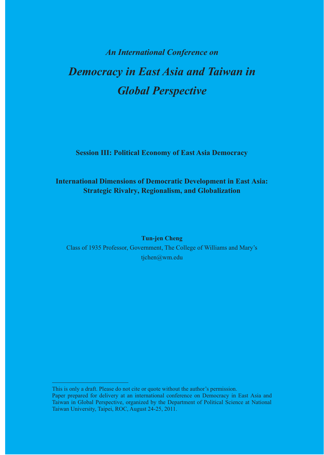# *An International Conference on Democracy in East Asia and Taiwan in Global Perspective*

**Session III: Political Economy of East Asia Democracy** 

# **International Dimensions of Democratic Development in East Asia: Strategic Rivalry, Regionalism, and Globalization**

**Tun-jen Cheng**  Class of 1935 Professor, Government, The College of Williams and Mary's tjchen@wm.edu

This is only a draft. Please do not cite or quote without the author's permission. Paper prepared for delivery at an international conference on Democracy in East Asia and Taiwan in Global Perspective, organized by the Department of Political Science at National Taiwan University, Taipei, ROC, August 24-25, 2011.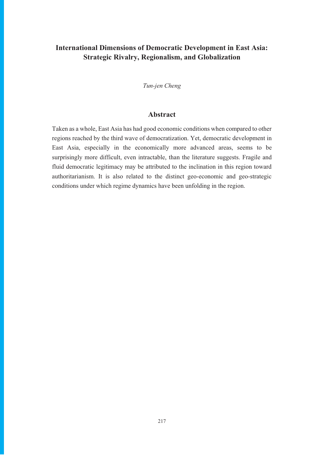# **International Dimensions of Democratic Development in East Asia: Strategic Rivalry, Regionalism, and Globalization**

*Tun-jen Cheng* 

# **Abstract**

Taken as a whole, East Asia has had good economic conditions when compared to other regions reached by the third wave of democratization. Yet, democratic development in East Asia, especially in the economically more advanced areas, seems to be surprisingly more difficult, even intractable, than the literature suggests. Fragile and fluid democratic legitimacy may be attributed to the inclination in this region toward authoritarianism. It is also related to the distinct geo-economic and geo-strategic conditions under which regime dynamics have been unfolding in the region.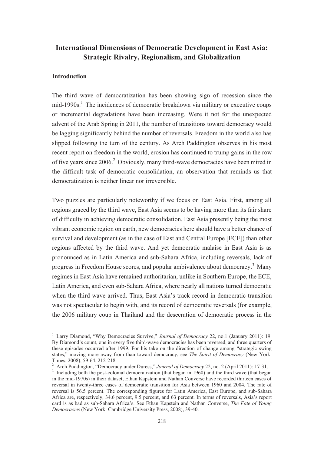# **International Dimensions of Democratic Development in East Asia: Strategic Rivalry, Regionalism, and Globalization**

#### **Introduction**

The third wave of democratization has been showing sign of recession since the mid-1990s.<sup>1</sup> The incidences of democratic breakdown via military or executive coups or incremental degradations have been increasing. Were it not for the unexpected advent of the Arab Spring in 2011, the number of transitions toward democracy would be lagging significantly behind the number of reversals. Freedom in the world also has slipped following the turn of the century. As Arch Paddington observes in his most recent report on freedom in the world, erosion has continued to trump gains in the row of five years since 2006.<sup>2</sup> Obviously, many third-wave democracies have been mired in the difficult task of democratic consolidation, an observation that reminds us that democratization is neither linear nor irreversible.

Two puzzles are particularly noteworthy if we focus on East Asia. First, among all regions graced by the third wave, East Asia seems to be having more than its fair share of difficulty in achieving democratic consolidation. East Asia presently being the most vibrant economic region on earth, new democracies here should have a better chance of survival and development (as in the case of East and Central Europe [ECE]) than other regions affected by the third wave. And yet democratic malaise in East Asia is as pronounced as in Latin America and sub-Sahara Africa, including reversals, lack of progress in Freedom House scores, and popular ambivalence about democracy.<sup>3</sup> Many regimes in East Asia have remained authoritarian, unlike in Southern Europe, the ECE, Latin America, and even sub-Sahara Africa, where nearly all nations turned democratic when the third wave arrived. Thus, East Asia's track record in democratic transition was not spectacular to begin with, and its record of democratic reversals (for example, the 2006 military coup in Thailand and the desecration of democratic process in the

2 Arch Puddington, "Democracy under Duress," *Journal of Democracy* 22, no. 2 (April 2011): 17-31.

<sup>&</sup>lt;sup>1</sup> Larry Diamond, "Why Democracies Survive," Journal of Democracy 22, no.1 (January 2011): 19. By Diamond's count, one in every five third-wave democracies has been reversed, and three quarters of these episodes occurred after 1999. For his take on the direction of change among "strategic swing states," moving more away from than toward democracy, see *The Spirit of Democracy* (New York: Times, 2008), 59-64, 212-218.

<sup>&</sup>lt;sup>3</sup> Including both the post-colonial democratization (that began in 1960) and the third wave (that began in the mid-1970s) in their dataset, Ethan Kapstein and Nathan Converse have recorded thirteen cases of reversal in twenty-three cases of democratic transition for Asia between 1960 and 2004. The rate of reversal is 56.5 percent. The corresponding figures for Latin America, East Europe, and sub-Sahara Africa are, respectively, 34.6 percent, 9.5 percent, and 63 percent. In terms of reversals, Asia's report card is as bad as sub-Sahara Africa's. See Ethan Kapstein and Nathan Converse, *The Fate of Young Democracies* (New York: Cambridge University Press, 2008), 39-40.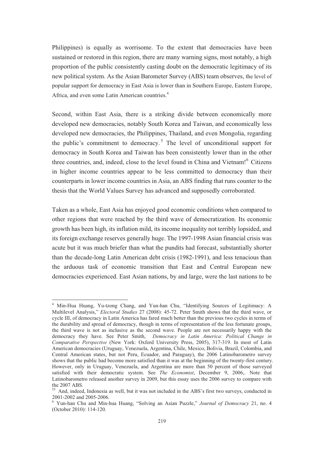Philippines) is equally as worrisome. To the extent that democracies have been sustained or restored in this region, there are many warning signs, most notably, a high proportion of the public consistently casting doubt on the democratic legitimacy of its new political system. As the Asian Barometer Survey (ABS) team observes, the level of popular support for democracy in East Asia is lower than in Southern Europe, Eastern Europe, Africa, and even some Latin American countries.<sup>4</sup>

Second, within East Asia, there is a striking divide between economically more developed new democracies, notably South Korea and Taiwan, and economically less developed new democracies, the Philippines, Thailand, and even Mongolia, regarding the public's commitment to democracy.<sup>5</sup> The level of unconditional support for democracy in South Korea and Taiwan has been consistently lower than in the other three countries, and, indeed, close to the level found in China and Vietnam!<sup>6</sup> Citizens in higher income countries appear to be less committed to democracy than their counterparts in lower income countries in Asia, an ABS finding that runs counter to the thesis that the World Values Survey has advanced and supposedly corroborated.

Taken as a whole, East Asia has enjoyed good economic conditions when compared to other regions that were reached by the third wave of democratization. Its economic growth has been high, its inflation mild, its income inequality not terribly lopsided, and its foreign exchange reserves generally huge. The 1997-1998 Asian financial crisis was acute but it was much briefer than what the pundits had forecast, substantially shorter than the decade-long Latin American debt crisis (1982-1991), and less tenacious than the arduous task of economic transition that East and Central European new democracies experienced. East Asian nations, by and large, were the last nations to be

<sup>4</sup> Min-Hua Huang, Yu-tzong Chang, and Yun-han Chu, "Identifying Sources of Legitimacy: A Multilevel Analysis," *Electoral Studies* 27 (2008): 45-72. Peter Smith shows that the third wave, or cycle III, of democracy in Latin America has fared much better than the previous two cycles in terms of the durability and spread of democracy, though in terms of representation of the less fortunate groups, the third wave is not as inclusive as the second wave. People are not necessarily happy with the democracy they have. See Peter Smith, *Democracy in Latin America: Political Change in Comparative Perspective* (New York: Oxford University Press, 2005), 317-319. In most of Latin American democracies (Uruguay, Venezuela, Argentina, Chile, Mexico, Bolivia, Brazil, Colombia, and Central American states, but not Peru, Ecuador, and Paraguay), the 2006 Latinobarometro survey shows that the public had become more satisfied than it was at the beginning of the twenty-first century. However, only in Uruguay, Venezuela, and Argentina are more than 50 percent of those surveyed satisfied with their democratic system. See *The Economist*, December 9, 2006,. Note that Latinobarometro released another survey in 2009, but this essay uses the 2006 survey to compare with the 2007 ABS.

<sup>55</sup> And, indeed, Indonesia as well, but it was not included in the ABS's first two surveys, conducted in 2001-2002 and 2005-2006.

<sup>6</sup> Yun-han Chu and Min-hua Huang, "Solving an Asian Puzzle," *Journal of Democracy* 21, no. 4 (October 2010): 114-120.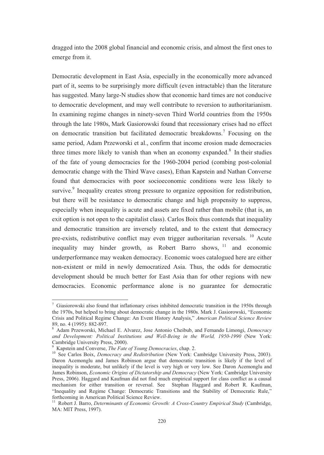dragged into the 2008 global financial and economic crisis, and almost the first ones to emerge from it.

Democratic development in East Asia, especially in the economically more advanced part of it, seems to be surprisingly more difficult (even intractable) than the literature has suggested. Many large-N studies show that economic hard times are not conducive to democratic development, and may well contribute to reversion to authoritarianism. In examining regime changes in ninety-seven Third World countries from the 1950s through the late 1980s, Mark Gasiorowski found that recessionary crises had no effect on democratic transition but facilitated democratic breakdowns.<sup>7</sup> Focusing on the same period, Adam Przeworski et al., confirm that income erosion made democracies three times more likely to vanish than when an economy expanded. $8\,$  In their studies of the fate of young democracies for the 1960-2004 period (combing post-colonial democratic change with the Third Wave cases), Ethan Kapstein and Nathan Converse found that democracies with poor socioeconomic conditions were less likely to survive.<sup>9</sup> Inequality creates strong pressure to organize opposition for redistribution, but there will be resistance to democratic change and high propensity to suppress, especially when inequality is acute and assets are fixed rather than mobile (that is, an exit option is not open to the capitalist class). Carlos Boix thus contends that inequality and democratic transition are inversely related, and to the extent that democracy pre-exists, redistributive conflict may even trigger authoritarian reversals.  $10$  Acute inequality may hinder growth, as Robert Barro shows,  $11$  and economic underperformance may weaken democracy. Economic woes catalogued here are either non-existent or mild in newly democratized Asia. Thus, the odds for democratic development should be much better for East Asia than for other regions with new democracies. Economic performance alone is no guarantee for democratic

<sup>&</sup>lt;sup>7</sup> Giasiorowski also found that inflationary crises inhibited democratic transition in the 1950s through the 1970s, but helped to bring about democratic change in the 1980s. Mark J. Gasiorowski, "Economic Crisis and Political Regime Change: An Event History Analysis," *American Political Science Review* 89, no. 4 (1995): 882-897.

<sup>8</sup> Adam Przeworski, Michael E. Alvarez, Jose Antonio Cheibub, and Fernando Limongi, *Democracy and Development: Political Institutions and Well-Being in the World, 1950-1990* (New York: Cambridge University Press, 2000).

<sup>9</sup> Kapstein and Converse, *The Fate of Young Democracies*, chap. 2.

<sup>10</sup> See Carlos Boix, *Democracy and Redistribution* (New York: Cambridge University Press, 2003). Daron Acemonglu and James Robinson argue that democratic transition is likely if the level of inequality is moderate, but unlikely if the level is very high or very low. See Daron Acemonglu and James Robinson, *Economic Origins of Dictatorship and Democracy* (New York: Cambridge University Press, 2006). Haggard and Kaufman did not find much empirical support for class conflict as a causal mechanism for either transition or reversal. See Stephan Haggard and Robert R. Kaufman, "Inequality and Regime Change: Democratic Transitions and the Stability of Democratic Rule," forthcoming in American Political Science Review.

<sup>&</sup>lt;sup>11</sup> Robert J. Barro, *Determinants of Economic Growth: A Cross-Country Empirical Study* (Cambridge, MA: MIT Press, 1997).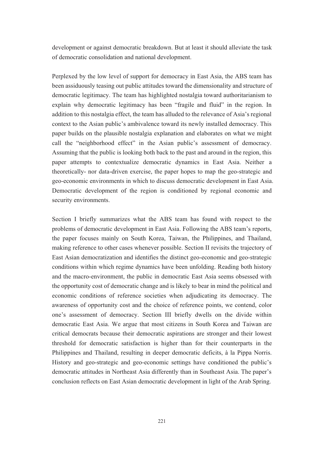development or against democratic breakdown. But at least it should alleviate the task of democratic consolidation and national development.

Perplexed by the low level of support for democracy in East Asia, the ABS team has been assiduously teasing out public attitudes toward the dimensionality and structure of democratic legitimacy. The team has highlighted nostalgia toward authoritarianism to explain why democratic legitimacy has been "fragile and fluid" in the region. In addition to this nostalgia effect, the team has alluded to the relevance of Asia's regional context to the Asian public's ambivalence toward its newly installed democracy. This paper builds on the plausible nostalgia explanation and elaborates on what we might call the "neighborhood effect" in the Asian public's assessment of democracy. Assuming that the public is looking both back to the past and around in the region, this paper attempts to contextualize democratic dynamics in East Asia. Neither a theoretically- nor data-driven exercise, the paper hopes to map the geo-strategic and geo-economic environments in which to discuss democratic development in East Asia. Democratic development of the region is conditioned by regional economic and security environments.

Section I briefly summarizes what the ABS team has found with respect to the problems of democratic development in East Asia. Following the ABS team's reports, the paper focuses mainly on South Korea, Taiwan, the Philippines, and Thailand, making reference to other cases whenever possible. Section II revisits the trajectory of East Asian democratization and identifies the distinct geo-economic and geo-strategic conditions within which regime dynamics have been unfolding. Reading both history and the macro-environment, the public in democratic East Asia seems obsessed with the opportunity cost of democratic change and is likely to bear in mind the political and economic conditions of reference societies when adjudicating its democracy. The awareness of opportunity cost and the choice of reference points, we contend, color one's assessment of democracy. Section III briefly dwells on the divide within democratic East Asia. We argue that most citizens in South Korea and Taiwan are critical democrats because their democratic aspirations are stronger and their lowest threshold for democratic satisfaction is higher than for their counterparts in the Philippines and Thailand, resulting in deeper democratic deficits, à la Pippa Norris. History and geo-strategic and geo-economic settings have conditioned the public's democratic attitudes in Northeast Asia differently than in Southeast Asia. The paper's conclusion reflects on East Asian democratic development in light of the Arab Spring.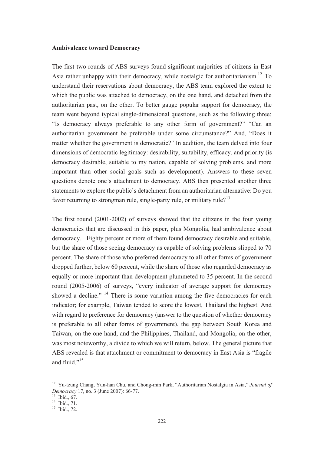#### **Ambivalence toward Democracy**

The first two rounds of ABS surveys found significant majorities of citizens in East Asia rather unhappy with their democracy, while nostalgic for authoritarianism.<sup>12</sup> To understand their reservations about democracy, the ABS team explored the extent to which the public was attached to democracy, on the one hand, and detached from the authoritarian past, on the other. To better gauge popular support for democracy, the team went beyond typical single-dimensional questions, such as the following three: "Is democracy always preferable to any other form of government?" "Can an authoritarian government be preferable under some circumstance?" And, "Does it matter whether the government is democratic?" In addition, the team delved into four dimensions of democratic legitimacy: desirability, suitability, efficacy, and priority (is democracy desirable, suitable to my nation, capable of solving problems, and more important than other social goals such as development). Answers to these seven questions denote one's attachment to democracy. ABS then presented another three statements to explore the public's detachment from an authoritarian alternative: Do you favor returning to strongman rule, single-party rule, or military rule?<sup>13</sup>

The first round (2001-2002) of surveys showed that the citizens in the four young democracies that are discussed in this paper, plus Mongolia, had ambivalence about democracy. Eighty percent or more of them found democracy desirable and suitable, but the share of those seeing democracy as capable of solving problems slipped to 70 percent. The share of those who preferred democracy to all other forms of government dropped further, below 60 percent, while the share of those who regarded democracy as equally or more important than development plummeted to 35 percent. In the second round (2005-2006) of surveys, "every indicator of average support for democracy showed a decline."  $14$  There is some variation among the five democracies for each indicator; for example, Taiwan tended to score the lowest, Thailand the highest. And with regard to preference for democracy (answer to the question of whether democracy is preferable to all other forms of government), the gap between South Korea and Taiwan, on the one hand, and the Philippines, Thailand, and Mongolia, on the other, was most noteworthy, a divide to which we will return, below. The general picture that ABS revealed is that attachment or commitment to democracy in East Asia is "fragile and fluid."<sup>15</sup>

<sup>12</sup> Yu-tzung Chang, Yun-han Chu, and Chong-min Park, "Authoritarian Nostalgia in Asia," *Journal of Democracy* 17, no. 3 (June 2007): 66-77.

<sup>13</sup> Ibid., 67.

<sup>&</sup>lt;sup>14</sup> Ibid., 71.

 $15$  Ibid., 72.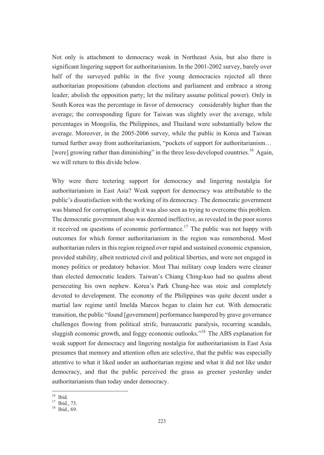Not only is attachment to democracy weak in Northeast Asia, but also there is significant lingering support for authoritarianism. In the 2001-2002 survey, barely over half of the surveyed public in the five young democracies rejected all three authoritarian propositions (abandon elections and parliament and embrace a strong leader; abolish the opposition party; let the military assume political power). Only in South Korea was the percentage in favor of democracy considerably higher than the average; the corresponding figure for Taiwan was slightly over the average, while percentages in Mongolia, the Philippines, and Thailand were substantially below the average. Moreover, in the 2005-2006 survey, while the public in Korea and Taiwan turned further away from authoritarianism, "pockets of support for authoritarianism… [were] growing rather than diminishing" in the three less-developed countries.<sup>16</sup> Again, we will return to this divide below.

Why were there teetering support for democracy and lingering nostalgia for authoritarianism in East Asia? Weak support for democracy was attributable to the public's dissatisfaction with the working of its democracy. The democratic government was blamed for corruption, though it was also seen as trying to overcome this problem. The democratic government also was deemed ineffective, as revealed in the poor scores it received on questions of economic performance.<sup>17</sup> The public was not happy with outcomes for which former authoritarianism in the region was remembered. Most authoritarian rulers in this region reigned over rapid and sustained economic expansion, provided stability, albeit restricted civil and political liberties, and were not engaged in money politics or predatory behavior. Most Thai military coup leaders were cleaner than elected democratic leaders. Taiwan's Chiang Ching-kuo had no qualms about persecuting his own nephew. Korea's Park Chung-hee was stoic and completely devoted to development. The economy of the Philippines was quite decent under a martial law regime until Imelda Marcos began to claim her cut. With democratic transition, the public "found [government] performance hampered by grave governance challenges flowing from political strife, bureaucratic paralysis, recurring scandals, sluggish economic growth, and foggy economic outlooks."18 The ABS explanation for weak support for democracy and lingering nostalgia for authoritarianism in East Asia presumes that memory and attention often are selective, that the public was especially attentive to what it liked under an authoritarian regime and what it did not like under democracy, and that the public perceived the grass as greener yesterday under authoritarianism than today under democracy.

<sup>16</sup> Ibid.

<sup>&</sup>lt;sup>17</sup> Ibid., 73.

 $18$  Ibid., 69.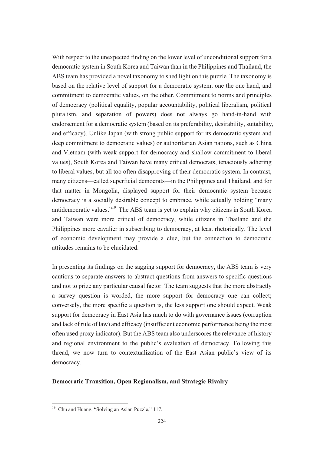With respect to the unexpected finding on the lower level of unconditional support for a democratic system in South Korea and Taiwan than in the Philippines and Thailand, the ABS team has provided a novel taxonomy to shed light on this puzzle. The taxonomy is based on the relative level of support for a democratic system, one the one hand, and commitment to democratic values, on the other. Commitment to norms and principles of democracy (political equality, popular accountability, political liberalism, political pluralism, and separation of powers) does not always go hand-in-hand with endorsement for a democratic system (based on its preferability, desirability, suitability, and efficacy). Unlike Japan (with strong public support for its democratic system and deep commitment to democratic values) or authoritarian Asian nations, such as China and Vietnam (with weak support for democracy and shallow commitment to liberal values), South Korea and Taiwan have many critical democrats, tenaciously adhering to liberal values, but all too often disapproving of their democratic system. In contrast, many citizens—called superficial democrats—in the Philippines and Thailand, and for that matter in Mongolia, displayed support for their democratic system because democracy is a socially desirable concept to embrace, while actually holding "many antidemocratic values."19 The ABS team is yet to explain why citizens in South Korea and Taiwan were more critical of democracy, while citizens in Thailand and the Philippines more cavalier in subscribing to democracy, at least rhetorically. The level of economic development may provide a clue, but the connection to democratic attitudes remains to be elucidated.

In presenting its findings on the sagging support for democracy, the ABS team is very cautious to separate answers to abstract questions from answers to specific questions and not to prize any particular causal factor. The team suggests that the more abstractly a survey question is worded, the more support for democracy one can collect; conversely, the more specific a question is, the less support one should expect. Weak support for democracy in East Asia has much to do with governance issues (corruption and lack of rule of law) and efficacy (insufficient economic performance being the most often used proxy indicator). But the ABS team also underscores the relevance of history and regional environment to the public's evaluation of democracy. Following this thread, we now turn to contextualization of the East Asian public's view of its democracy.

## **Democratic Transition, Open Regionalism, and Strategic Rivalry**

<sup>&</sup>lt;sup>19</sup> Chu and Huang, "Solving an Asian Puzzle," 117.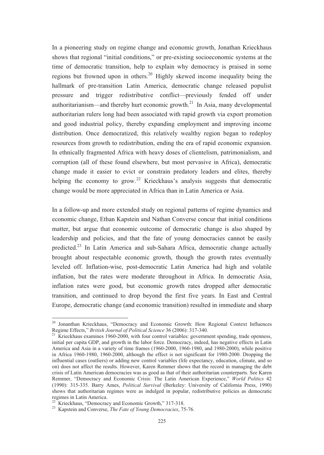In a pioneering study on regime change and economic growth, Jonathan Krieckhaus shows that regional "initial conditions," or pre-existing socioeconomic systems at the time of democratic transition, help to explain why democracy is praised in some regions but frowned upon in others.20 Highly skewed income inequality being the hallmark of pre-transition Latin America, democratic change released populist pressure and trigger redistributive conflict—previously fended off under authoritarianism—and thereby hurt economic growth.<sup>21</sup> In Asia, many developmental authoritarian rulers long had been associated with rapid growth via export promotion and good industrial policy, thereby expanding employment and improving income distribution. Once democratized, this relatively wealthy region began to redeploy resources from growth to redistribution, ending the era of rapid economic expansion. In ethnically fragmented Africa with heavy doses of clientelism, patrimonialism, and corruption (all of these found elsewhere, but most pervasive in Africa), democratic change made it easier to evict or constrain predatory leaders and elites, thereby helping the economy to grow.<sup>22</sup> Krieckhaus's analysis suggests that democratic change would be more appreciated in Africa than in Latin America or Asia.

In a follow-up and more extended study on regional patterns of regime dynamics and economic change, Ethan Kapstein and Nathan Converse concur that initial conditions matter, but argue that economic outcome of democratic change is also shaped by leadership and policies, and that the fate of young democracies cannot be easily predicted.<sup>23</sup> In Latin America and sub-Sahara Africa, democratic change actually brought about respectable economic growth, though the growth rates eventually leveled off. Inflation-wise, post-democratic Latin America had high and volatile inflation, but the rates were moderate throughout in Africa. In democratic Asia, inflation rates were good, but economic growth rates dropped after democratic transition, and continued to drop beyond the first five years. In East and Central Europe, democratic change (and economic transition) resulted in immediate and sharp

<sup>&</sup>lt;sup>20</sup> Jonanthan Krieckhaus, "Democracy and Economic Growth: How Regional Context Influences Regime Effects," *British Journal of Political Science* 36 (2006): 317-340.

<sup>&</sup>lt;sup>21</sup> Krieckhaus examines 1960-2000, with four control variables: government spending, trade openness, initial per capita GDP, and growth in the labor force. Democracy, indeed, has negative effects in Latin America and Asia in a variety of time frames (1960-2000, 1960-1980, and 1980-2000), while positive in Africa 1960-1980, 1960-2000, although the effect is not significant for 1980-2000. Dropping the influential cases (outliers) or adding new control variables (life expectancy, education, climate, and so on) does not affect the results. However, Karen Remmer shows that the record in managing the debt crisis of Latin American democracies was as good as that of their authoritarian counterparts. See Karen Remmer, "Democracy and Economic Crisis: The Latin American Experience," *World Politics* 42 (1990): 315-335. Barry Ames, *Political Survival* (Berkeley: University of California Press, 1990) shows that authoritarian regimes were as indulged in popular, redistributive policies as democratic regimes in Latin America.

<sup>&</sup>lt;sup>22</sup> Krieckhaus, "Democracy and Economic Growth," 317-318.

<sup>23</sup> Kapstein and Converse, *The Fate of Young Democracies*, 75-76.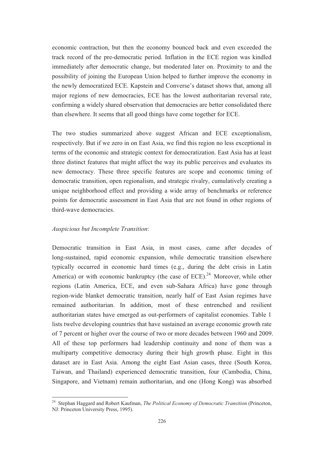economic contraction, but then the economy bounced back and even exceeded the track record of the pre-democratic period. Inflation in the ECE region was kindled immediately after democratic change, but moderated later on. Proximity to and the possibility of joining the European Union helped to further improve the economy in the newly democratized ECE. Kapstein and Converse's dataset shows that, among all major regions of new democracies, ECE has the lowest authoritarian reversal rate, confirming a widely shared observation that democracies are better consolidated there than elsewhere. It seems that all good things have come together for ECE.

The two studies summarized above suggest African and ECE exceptionalism, respectively. But if we zero in on East Asia, we find this region no less exceptional in terms of the economic and strategic context for democratization. East Asia has at least three distinct features that might affect the way its public perceives and evaluates its new democracy. These three specific features are scope and economic timing of democratic transition, open regionalism, and strategic rivalry, cumulatively creating a unique neighborhood effect and providing a wide array of benchmarks or reference points for democratic assessment in East Asia that are not found in other regions of third-wave democracies.

#### *Auspicious but Incomplete Transition*:

Democratic transition in East Asia, in most cases, came after decades of long-sustained, rapid economic expansion, while democratic transition elsewhere typically occurred in economic hard times (e.g., during the debt crisis in Latin America) or with economic bankruptcy (the case of ECE). $^{24}$  Moreover, while other regions (Latin America, ECE, and even sub-Sahara Africa) have gone through region-wide blanket democratic transition, nearly half of East Asian regimes have remained authoritarian. In addition, most of these entrenched and resilient authoritarian states have emerged as out-performers of capitalist economies. Table 1 lists twelve developing countries that have sustained an average economic growth rate of 7 percent or higher over the course of two or more decades between 1960 and 2009. All of these top performers had leadership continuity and none of them was a multiparty competitive democracy during their high growth phase. Eight in this dataset are in East Asia. Among the eight East Asian cases, three (South Korea, Taiwan, and Thailand) experienced democratic transition, four (Cambodia, China, Singapore, and Vietnam) remain authoritarian, and one (Hong Kong) was absorbed

<sup>24</sup> Stephan Haggard and Robert Kaufman, *The Political Economy of Democratic Transition* (Princeton, NJ: Princeton University Press, 1995).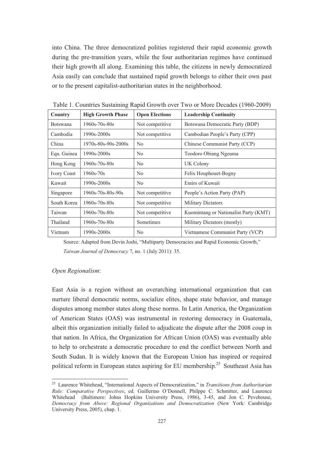into China. The three democratized polities registered their rapid economic growth during the pre-transition years, while the four authoritarian regimes have continued their high growth all along. Examining this table, the citizens in newly democratized Asia easily can conclude that sustained rapid growth belongs to either their own past or to the present capitalist-authoritarian states in the neighborhood.

| Country            | <b>High Growth Phase</b>  | <b>Open Elections</b> | <b>Leadership Continuity</b>          |
|--------------------|---------------------------|-----------------------|---------------------------------------|
| <b>Botswana</b>    | $1960s - 70s - 80s$       | Not competitive       | Botswana Democratic Party (BDP)       |
| Cambodia           | $1990s - 2000s$           | Not competitive       | Cambodian People's Party (CPP)        |
| China              | 1970s-80s-90s-2000s       | N <sub>0</sub>        | Chinese Communist Party (CCP)         |
| Equ. Guinea        | $1990s - 2000s$           | N <sub>0</sub>        | Teodoro Obiang Ngeuma                 |
| Hong Kong          | $1960s - 70s - 80s$       | N <sub>0</sub>        | UK Colony                             |
| <b>Ivory Coast</b> | $1960s - 70s$             | N <sub>0</sub>        | Felix Houphouet-Bogny                 |
| Kuwait             | $1990s - 2000s$           | N <sub>0</sub>        | Emirs of Kuwait                       |
| Singapore          | $1960s - 70s - 80s - 90s$ | Not competitive       | People's Action Party (PAP)           |
| South Korea        | $1960s - 70s - 80s$       | Not competitive       | <b>Military Dictators</b>             |
| Taiwan             | $1960s - 70s - 80s$       | Not competitive       | Kuomintang or Nationalist Party (KMT) |
| Thailand           | $1960s - 70s - 80s$       | Sometimes             | Military Dictators (mostly)           |
| Vietnam            | $1990s - 2000s$           | N <sub>0</sub>        | Vietnamese Communist Party (VCP)      |

Table 1. Countries Sustaining Rapid Growth over Two or More Decades (1960-2009)

Source: Adapted from Devin Joshi, "Multiparty Democracies and Rapid Economic Growth," *Taiwan Journal of Democracy* 7, no. 1 (July 2011): 35.

#### *Open Regionalism*:

East Asia is a region without an overarching international organization that can nurture liberal democratic norms, socialize elites, shape state behavior, and manage disputes among member states along these norms. In Latin America, the Organization of American States (OAS) was instrumental in restoring democracy in Guatemala, albeit this organization initially failed to adjudicate the dispute after the 2008 coup in that nation. In Africa, the Organization for African Union (OAS) was eventually able to help to orchestrate a democratic procedure to end the conflict between North and South Sudan. It is widely known that the European Union has inspired or required political reform in European states aspiring for EU membership.<sup>25</sup> Southeast Asia has

<sup>25</sup> Laurence Whitehead, "International Aspects of Democratization," in *Transitions from Authoritarian Rule: Comparative Perspectives*, ed. Guillermo O'Donnell, Philppe C. Schmitter, and Laurence Whitehead (Baltimore: Johns Hopkins University Press, 1986), 3-45, and Jon C. Pevehouse, *Democracy from Above: Regional Organizations and Democratization* (New York: Cambridge University Press, 2005), chap. 1.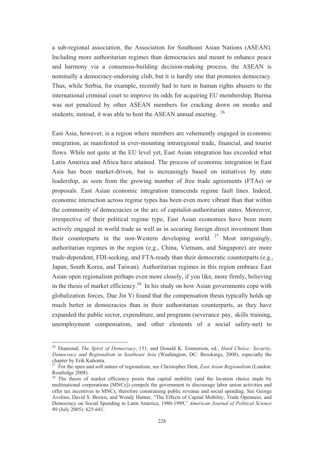a sub-regional association, the Association for Southeast Asian Nations (ASEAN). Including more authoritarian regimes than democracies and meant to enhance peace and harmony via a consensus-building decision-making process, the ASEAN is nominally a democracy-endorsing club, but it is hardly one that promotes democracy. Thus, while Serbia, for example, recently had to turn in human rights abusers to the international criminal court to improve its odds for acquiring EU membership, Burma was not penalized by other ASEAN members for cracking down on monks and students; instead, it was able to host the ASEAN annual meeting.  $^{26}$ 

East Asia, however, is a region where members are vehemently engaged in economic integration, as manifested in ever-mounting intraregional trade, financial, and tourist flows. While not quite at the EU level yet, East Asian integration has exceeded what Latin America and Africa have attained. The process of economic integration in East Asia has been market-driven, but is increasingly based on initiatives by state leadership, as seen from the growing number of free trade agreements (FTAs) or proposals. East Asian economic integration transcends regime fault lines. Indeed, economic interaction across regime types has been even more vibrant than that within the community of democracies or the arc of capitalist-authoritarian states. Moreover, irrespective of their political regime type, East Asian economies have been more actively engaged in world trade as well as in securing foreign direct investment than their counterparts in the non-Western developing world. <sup>27</sup> Most intriguingly, authoritarian regimes in the region (e.g., China, Vietnam, and Singapore) are more trade-dependent, FDI-seeking, and FTA-ready than their democratic counterparts (e.g., Japan, South Korea, and Taiwan). Authoritarian regimes in this region embrace East Asian open regionalism perhaps even more closely, if you like, more firmly, believing in the thesis of market efficiency.<sup>28</sup> In his study on how Asian governments cope with globalization forces, Dae Jin Yi found that the compensation thesis typically holds up much better in democracies than in their authoritarian counterparts, as they have expanded the public sector, expenditure, and programs (severance pay, skills training, unemployment compensation, and other elements of a social safety-net) to

<sup>26</sup> Diamond, *The Spirit of Democracy*, 151, and Donald K. Emmerson, ed., *Hard Choice: Security, Democracy and Regionalism in Southeast Asia* (Washington, DC: Brookings, 2008), especially the chapter by Erik Kuhonta.

<sup>27</sup> For the open and soft nature of regionalism, see Christopher Dent, *East Asian Regionalism* (London: Routledge 2008).

<sup>&</sup>lt;sup>28</sup> The thesis of market efficiency posits that capital mobility (and the location choice made by multinational corporations [MNCs]) compels the government to discourage labor union activities and offer tax incentives to MNCs, therefore constraining public revenue and social spending. See George Avelino, David S. Brown, and Wendy Hunter, "The Effects of Capital Mobility, Trade Openness, and Democracy on Social Spending in Latin America, 1980-1999," *American Journal of Political Science* 49 (July 2005): 625-641.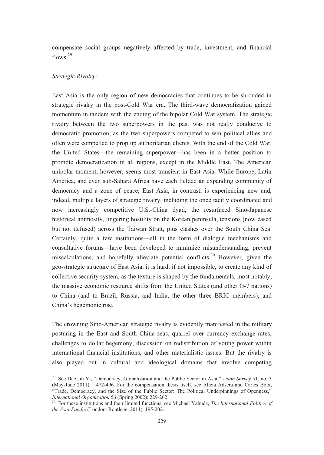compensate social groups negatively affected by trade, investment, and financial flows.<sup>29</sup>

#### *Strategic Rivalry*:

East Asia is the only region of new democracies that continues to be shrouded in strategic rivalry in the post-Cold War era. The third-wave democratization gained momentum in tandem with the ending of the bipolar Cold War system. The strategic rivalry between the two superpowers in the past was not really conducive to democratic promotion, as the two superpowers competed to win political allies and often were compelled to prop up authoritarian clients. With the end of the Cold War, the United States—the remaining superpower—has been in a better position to promote democratization in all regions, except in the Middle East. The American unipolar moment, however, seems most transient in East Asia. While Europe, Latin America, and even sub-Sahara Africa have each fielded an expanding community of democracy and a zone of peace, East Asia, in contrast, is experiencing new and, indeed, multiple layers of strategic rivalry, including the once tacitly coordinated and now increasingly competitive U.S.-China dyad, the resurfaced Sino-Japanese historical animosity, lingering hostility on the Korean peninsula, tensions (now eased but not defused) across the Taiwan Strait, plus clashes over the South China Sea. Certainly, quite a few institutions—all in the form of dialogue mechanisms and consultative forums—have been developed to minimize misunderstanding, prevent miscalculations, and hopefully alleviate potential conflicts.<sup>30</sup> However, given the geo-strategic structure of East Asia, it is hard, if not impossible, to create any kind of collective security system, as the texture is shaped by the fundamentals, most notably, the massive economic resource shifts from the United States (and other G-7 nations) to China (and to Brazil, Russia, and India, the other three BRIC members), and China's hegemonic rise.

The crowning Sino-American strategic rivalry is evidently manifested in the military posturing in the East and South China seas, quarrel over currency exchange rates, challenges to dollar hegemony, discussion on redistribution of voting power within international financial institutions, and other materialistic issues. But the rivalry is also played out in cultural and ideological domains that involve competing

<sup>29</sup> See Dae Jin Yi, "Democracy, Globalization and the Public Sector in Asia," *Asian Survey* 51, no. 3 (May-June 2011): 472-496. For the compensation thesis itself, see Alicia Adsera and Carles Boix, "Trade, Democracy, and the Size of the Public Sector: The Political Underpinnings of Openness," *International Organization* 56 (Spring 2002): 229-262.

<sup>30</sup> For these institutions and their limited functions, see Michael Yahuda, *The International Politics of the Asia-Pacific* (London: Routlege, 2011), 195-202.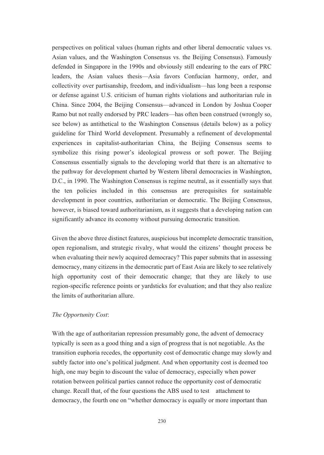perspectives on political values (human rights and other liberal democratic values vs. Asian values, and the Washington Consensus vs. the Beijing Consensus). Famously defended in Singapore in the 1990s and obviously still endearing to the ears of PRC leaders, the Asian values thesis—Asia favors Confucian harmony, order, and collectivity over partisanship, freedom, and individualism—has long been a response or defense against U.S. criticism of human rights violations and authoritarian rule in China. Since 2004, the Beijing Consensus—advanced in London by Joshua Cooper Ramo but not really endorsed by PRC leaders—has often been construed (wrongly so, see below) as antithetical to the Washington Consensus (details below) as a policy guideline for Third World development. Presumably a refinement of developmental experiences in capitalist-authoritarian China, the Beijing Consensus seems to symbolize this rising power's ideological prowess or soft power. The Beijing Consensus essentially signals to the developing world that there is an alternative to the pathway for development charted by Western liberal democracies in Washington, D.C., in 1990. The Washington Consensus is regime neutral, as it essentially says that the ten policies included in this consensus are prerequisites for sustainable development in poor countries, authoritarian or democratic. The Beijing Consensus, however, is biased toward authoritarianism, as it suggests that a developing nation can significantly advance its economy without pursuing democratic transition.

Given the above three distinct features, auspicious but incomplete democratic transition, open regionalism, and strategic rivalry, what would the citizens' thought process be when evaluating their newly acquired democracy? This paper submits that in assessing democracy, many citizens in the democratic part of East Asia are likely to see relatively high opportunity cost of their democratic change; that they are likely to use region-specific reference points or yardsticks for evaluation; and that they also realize the limits of authoritarian allure.

## *The Opportunity Cost*:

With the age of authoritarian repression presumably gone, the advent of democracy typically is seen as a good thing and a sign of progress that is not negotiable. As the transition euphoria recedes, the opportunity cost of democratic change may slowly and subtly factor into one's political judgment. And when opportunity cost is deemed too high, one may begin to discount the value of democracy, especially when power rotation between political parties cannot reduce the opportunity cost of democratic change. Recall that, of the four questions the ABS used to test attachment to democracy, the fourth one on "whether democracy is equally or more important than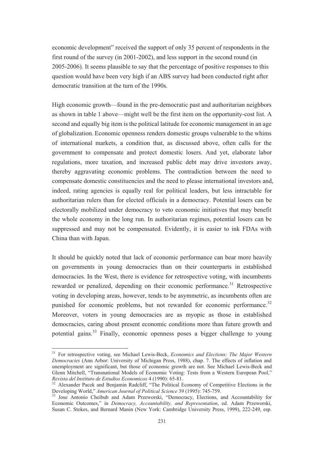economic development" received the support of only 35 percent of respondents in the first round of the survey (in 2001-2002), and less support in the second round (in 2005-2006). It seems plausible to say that the percentage of positive responses to this question would have been very high if an ABS survey had been conducted right after democratic transition at the turn of the 1990s.

High economic growth—found in the pre-democratic past and authoritarian neighbors as shown in table 1 above—might well be the first item on the opportunity-cost list. A second and equally big item is the political latitude for economic management in an age of globalization. Economic openness renders domestic groups vulnerable to the whims of international markets, a condition that, as discussed above, often calls for the government to compensate and protect domestic losers. And yet, elaborate labor regulations, more taxation, and increased public debt may drive investors away, thereby aggravating economic problems. The contradiction between the need to compensate domestic constituencies and the need to please international investors and, indeed, rating agencies is equally real for political leaders, but less intractable for authoritarian rulers than for elected officials in a democracy. Potential losers can be electorally mobilized under democracy to veto economic initiatives that may benefit the whole economy in the long run. In authoritarian regimes, potential losers can be suppressed and may not be compensated. Evidently, it is easier to ink FDAs with China than with Japan.

It should be quickly noted that lack of economic performance can bear more heavily on governments in young democracies than on their counterparts in established democracies. In the West, there is evidence for retrospective voting, with incumbents rewarded or penalized, depending on their economic performance.<sup>31</sup> Retrospective voting in developing areas, however, tends to be asymmetric, as incumbents often are punished for economic problems, but not rewarded for economic performance.<sup>32</sup> Moreover, voters in young democracies are as myopic as those in established democracies, caring about present economic conditions more than future growth and potential gains.<sup>33</sup> Finally, economic openness poses a bigger challenge to young

<sup>31</sup> For retrospective voting, see Michael Lewis-Beck, *Economics and Elections: The Major Western Democracies* (Ann Arbor: University of Michigan Press, 1988), chap. 7. The effects of inflation and unemployment are significant, but those of economic growth are not. See Michael Lewis-Beck and Glenn Mitchell, "Transnational Models of Economic Voting: Tests from a Western European Pool," *Revista del Instituto de Estudios Economicos* 4 (1990): 65-81.

<sup>&</sup>lt;sup>32</sup> Alexander Pacek and Benjamin Radcliff, "The Political Economy of Competitive Elections in the Developing World," *American Journal of Political Science* 39 (1995): 745-759.

<sup>&</sup>lt;sup>33</sup> Jose Antonio Cheibub and Adam Przeworski, "Democracy, Elections, and Accountability for Economic Outcomes," in *Democracy, Accountability, and Representation*, ed. Adam Przeworski, Susan C. Stokes, and Bernard Manin (New York: Cambridge University Press, 1999), 222-249, esp.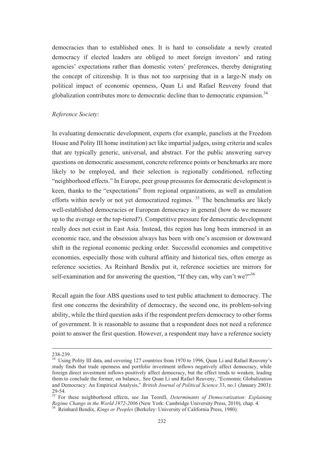democracies than to established ones. It is hard to consolidate a newly created democracy if elected leaders are obliged to meet foreign investors' and rating agencies' expectations rather than domestic voters' preferences, thereby denigrating the concept of citizenship. It is thus not too surprising that in a large-N study on political impact of economic openness, Quan Li and Rafael Reuveny found that globalization contributes more to democratic decline than to democratic expansion.<sup>34</sup>

## *Reference Society*:

In evaluating democratic development, experts (for example, panelists at the Freedom House and Polity III home institution) act like impartial judges, using criteria and scales that are typically generic, universal, and abstract. For the public answering survey questions on democratic assessment, concrete reference points or benchmarks are more likely to be employed, and their selection is regionally conditioned, reflecting "neighborhood effects." In Europe, peer group pressures for democratic development is keen, thanks to the "expectations" from regional organizations, as well as emulation efforts within newly or not yet democratized regimes.<sup>35</sup> The benchmarks are likely well-established democracies or European democracy in general (how do we measure up to the average or the top-tiered?). Competitive pressure for democratic development really does not exist in East Asia. Instead, this region has long been immersed in an economic race, and the obsession always has been with one's ascension or downward shift in the regional economic pecking order. Successful economies and competitive economies, especially those with cultural affinity and historical ties, often emerge as reference societies. As Reinhard Bendix put it, reference societies are mirrors for self-examination and for answering the question, "If they can, why can't we?"<sup>36</sup>

Recall again the four ABS questions used to test public attachment to democracy. The first one concerns the desirability of democracy, the second one, its problem-solving ability, while the third question asks if the respondent prefers democracy to other forms of government. It is reasonable to assume that a respondent does not need a reference point to answer the first question. However, a respondent may have a reference society

<sup>238-239.</sup> 

<sup>&</sup>lt;sup>34</sup> Using Polity III data, and covering 127 countries from 1970 to 1996, Quan Li and Rafael Reuveny's study finds that trade openness and portfolio investment inflows negatively affect democracy, while foreign direct investment inflows positively affect democracy, but the effect tends to weaken, leading them to conclude the former, on balance,. See Quan Li and Rafael Reuveny, "Economic Globalization and Democracy: An Empirical Analysis," *British Journal of Political Science* 33, no.1 (January 2003): 29-54.

<sup>35</sup> For these neighborhood effects, see Jan Teorell, *Determinants of Democratization: Explaining Regime Change in the World 1972-2006* (New York: Cambridge University Press, 2010), chap. 4.

<sup>36</sup> Reinhard Bendix, *Kings or Peoples* (Berkeley: University of California Press, 1980).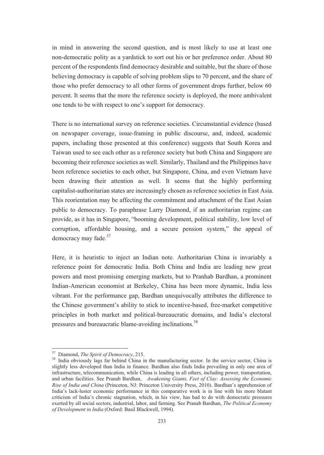in mind in answering the second question, and is most likely to use at least one non-democratic polity as a yardstick to sort out his or her preference order. About 80 percent of the respondents find democracy desirable and suitable, but the share of those believing democracy is capable of solving problem slips to 70 percent, and the share of those who prefer democracy to all other forms of government drops further, below 60 percent. It seems that the more the reference society is deployed, the more ambivalent one tends to be with respect to one's support for democracy.

There is no international survey on reference societies. Circumstantial evidence (based on newspaper coverage, issue-framing in public discourse, and, indeed, academic papers, including those presented at this conference) suggests that South Korea and Taiwan used to see each other as a reference society but both China and Singapore are becoming their reference societies as well. Similarly, Thailand and the Philippines have been reference societies to each other, but Singapore, China, and even Vietnam have been drawing their attention as well. It seems that the highly performing capitalist-authoritarian states are increasingly chosen as reference societies in East Asia. This reorientation may be affecting the commitment and attachment of the East Asian public to democracy. To paraphrase Larry Diamond, if an authoritarian regime can provide, as it has in Singapore, "booming development, political stability, low level of corruption, affordable housing, and a secure pension system," the appeal of democracy may fade.<sup>37</sup>

Here, it is heuristic to inject an Indian note. Authoritarian China is invariably a reference point for democratic India. Both China and India are leading new great powers and most promising emerging markets, but to Pranhab Bardhan, a prominent Indian-American economist at Berkeley, China has been more dynamic, India less vibrant. For the performance gap, Bardhan unequivocally attributes the difference to the Chinese government's ability to stick to incentive-based, free-market competitive principles in both market and political-bureaucratic domains, and India's electoral pressures and bureaucratic blame-avoiding inclinations.<sup>38</sup>

<sup>37</sup> Diamond, *The Spirit of Democracy*, 215.

<sup>&</sup>lt;sup>38</sup> India obviously lags far behind China in the manufacturing sector. In the service sector, China is slightly less developed than India in finance. Bardhan also finds India prevailing in only one area of infrastructure, telecommunication, while China is leading in all others, including power, transportation, and urban facilities. See Pranab Bardhan, *Awakening Giants, Feet of Clay: Assessing the Economic Rise of India and China* (Princeton, NJ: Princeton University Press, 2010). Bardhan's apprehension of India's lack-luster economic performance in this comparative work is in line with his more blatant criticism of India's chronic stagnation, which, in his view, has had to do with democratic pressures exerted by all social sectors, industrial, labor, and farming. See Pranab Bardhan, *The Political Economy of Development in India* (Oxford: Basil Blackwell, 1994).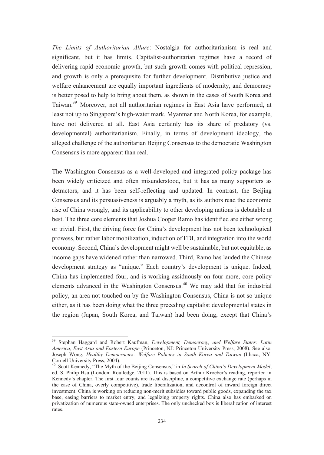*The Limits of Authoritarian Allure*: Nostalgia for authoritarianism is real and significant, but it has limits. Capitalist-authoritarian regimes have a record of delivering rapid economic growth, but such growth comes with political repression, and growth is only a prerequisite for further development. Distributive justice and welfare enhancement are equally important ingredients of modernity, and democracy is better posed to help to bring about them, as shown in the cases of South Korea and Taiwan.39 Moreover, not all authoritarian regimes in East Asia have performed, at least not up to Singapore's high-water mark. Myanmar and North Korea, for example, have not delivered at all. East Asia certainly has its share of predatory (vs. developmental) authoritarianism. Finally, in terms of development ideology, the alleged challenge of the authoritarian Beijing Consensus to the democratic Washington Consensus is more apparent than real.

The Washington Consensus as a well-developed and integrated policy package has been widely criticized and often misunderstood, but it has as many supporters as detractors, and it has been self-reflecting and updated. In contrast, the Beijing Consensus and its persuasiveness is arguably a myth, as its authors read the economic rise of China wrongly, and its applicability to other developing nations is debatable at best. The three core elements that Joshua Cooper Ramo has identified are either wrong or trivial. First, the driving force for China's development has not been technological prowess, but rather labor mobilization, induction of FDI, and integration into the world economy. Second, China's development might well be sustainable, but not equitable, as income gaps have widened rather than narrowed. Third, Ramo has lauded the Chinese development strategy as "unique." Each country's development is unique. Indeed, China has implemented four, and is working assiduously on four more, core policy elements advanced in the Washington Consensus.40 We may add that for industrial policy, an area not touched on by the Washington Consensus, China is not so unique either, as it has been doing what the three preceding capitalist developmental states in the region (Japan, South Korea, and Taiwan) had been doing, except that China's

<sup>39</sup> Stephan Haggard and Robert Kaufman, *Development, Democracy, and Welfare States: Latin America, East Asia and Eastern Europe* (Princeton, NJ: Princeton University Press, 2008). See also, Joseph Wong, *Healthy Democracies: Welfare Policies in South Korea and Taiwan* (Ithaca, NY: Cornell University Press, 2004).

<sup>40</sup> Scott Kennedy, "The Myth of the Beijing Consensus," in *In Search of China's Development Model*, ed. S. Philip Hsu (London: Routledge, 2011). This is based on Arthur Kroeber's reading, reported in Kennedy's chapter. The first four counts are fiscal discipline, a competitive exchange rate (perhaps in the case of China, overly competitive), trade liberalization, and decontrol of inward foreign direct investment. China is working on reducing non-merit subsidies toward public goods, expanding the tax base, easing barriers to market entry, and legalizing property rights. China also has embarked on privatization of numerous state-owned enterprises. The only unchecked box is liberalization of interest rates.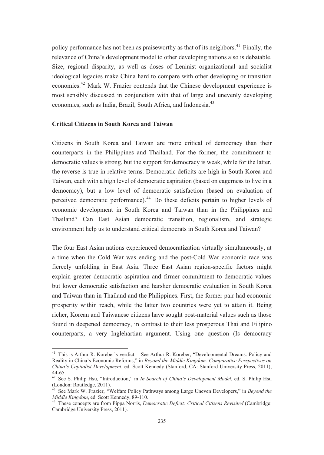policy performance has not been as praiseworthy as that of its neighbors.<sup>41</sup> Finally, the relevance of China's development model to other developing nations also is debatable. Size, regional disparity, as well as doses of Leninist organizational and socialist ideological legacies make China hard to compare with other developing or transition economies.42 Mark W. Frazier contends that the Chinese development experience is most sensibly discussed in conjunction with that of large and unevenly developing economies, such as India, Brazil, South Africa, and Indonesia.<sup>43</sup>

## **Critical Citizens in South Korea and Taiwan**

Citizens in South Korea and Taiwan are more critical of democracy than their counterparts in the Philippines and Thailand. For the former, the commitment to democratic values is strong, but the support for democracy is weak, while for the latter, the reverse is true in relative terms. Democratic deficits are high in South Korea and Taiwan, each with a high level of democratic aspiration (based on eagerness to live in a democracy), but a low level of democratic satisfaction (based on evaluation of perceived democratic performance).44 Do these deficits pertain to higher levels of economic development in South Korea and Taiwan than in the Philippines and Thailand? Can East Asian democratic transition, regionalism, and strategic environment help us to understand critical democrats in South Korea and Taiwan?

The four East Asian nations experienced democratization virtually simultaneously, at a time when the Cold War was ending and the post-Cold War economic race was fiercely unfolding in East Asia. Three East Asian region-specific factors might explain greater democratic aspiration and firmer commitment to democratic values but lower democratic satisfaction and harsher democratic evaluation in South Korea and Taiwan than in Thailand and the Philippines. First, the former pair had economic prosperity within reach, while the latter two countries were yet to attain it. Being richer, Korean and Taiwanese citizens have sought post-material values such as those found in deepened democracy, in contrast to their less prosperous Thai and Filipino counterparts, a very Inglehartian argument. Using one question (Is democracy

<sup>&</sup>lt;sup>41</sup> This is Arthur R. Koreber's verdict. See Arthur R. Koreber, "Developmental Dreams: Policy and Reality in China's Economic Reforms," in *Beyond the Middle Kingdom: Comparative Perspectives on China's Capitalist Development*, ed. Scott Kennedy (Stanford, CA: Stanford University Press, 2011), 44-65.

<sup>42</sup> See S. Philip Hsu, "Introduction," in *In Search of China's Development Model*, ed. S. Philip Hsu (London: Routledge, 2011).

<sup>43</sup> See Mark W. Frazier, "Welfare Policy Pathways among Large Uneven Developers," in *Beyond the Middle Kingdom*, ed. Scott Kennedy, 89-110. 44 These concepts are from Pippa Norris, *Democratic Deficit: Critical Citizens Revisited* (Cambridge:

Cambridge University Press, 2011).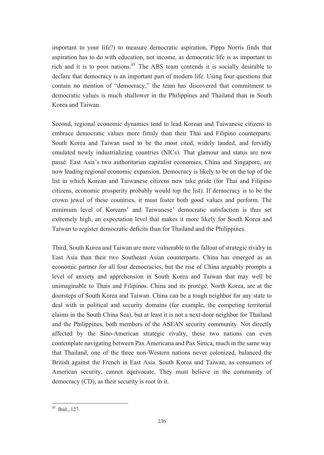important to your life?) to measure democratic aspiration, Pippa Norris finds that aspiration has to do with education, not income, as democratic life is as important to rich and it is to poor nations.<sup>45</sup> The ABS team contends it is socially desirable to declare that democracy is an important part of modern life. Using four questions that contain no mention of "democracy," the team has discovered that commitment to democratic values is much shallower in the Philippines and Thailand than in South Korea and Taiwan.

Second, regional economic dynamics tend to lead Korean and Taiwanese citizens to embrace democratic values more firmly than their Thai and Filipino counterparts. South Korea and Taiwan used to be the most cited, widely lauded, and fervidly emulated newly industrializing countries (NICs). That glamour and status are now passé. East Asia's two authoritarian capitalist economies, China and Singapore, are now leading regional economic expansion. Democracy is likely to be on the top of the list in which Korean and Taiwanese citizens now take pride (for Thai and Filipino citizens, economic prosperity probably would top the list). If democracy is to be the crown jewel of these countries, it must foster both good values and perform. The minimum level of Koreans' and Taiwanese' democratic satisfaction is thus set extremely high, an expectation level that makes it more likely for South Korea and Taiwan to register democratic deficits than for Thailand and the Philippines.

Third, South Korea and Taiwan are more vulnerable to the fallout of strategic rivalry in East Asia than their two Southeast Asian counterparts. China has emerged as an economic partner for all four democracies, but the rise of China arguably prompts a level of anxiety and apprehension in South Korea and Taiwan that may well be unimaginable to Thais and Filipinos. China and its protégé, North Korea, are at the doorsteps of South Korea and Taiwan. China can be a tough neighbor for any state to deal with in political and security domains (for example, the competing territorial claims in the South China Sea), but at least it is not a next-door neighbor for Thailand and the Philippines, both members of the ASEAN security community. Not directly affected by the Sino-American strategic rivalry, these two nations can even contemplate navigating between Pax Americana and Pax Sinica, much in the same way that Thailand, one of the three non-Western nations never colonized, balanced the British against the French in East Asia. South Korea and Taiwan, as consumers of American security, cannot equivocate. They must believe in the community of democracy (CD), as their security is root in it.

<sup>45</sup> Ibid., 127.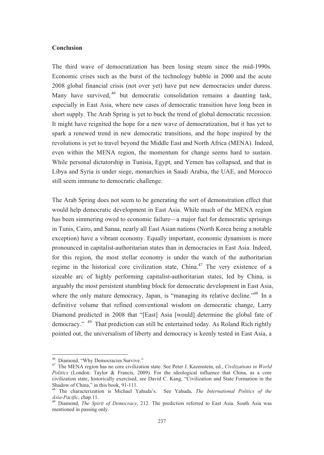#### **Conclusion**

The third wave of democratization has been losing steam since the mid-1990s. Economic crises such as the burst of the technology bubble in 2000 and the acute 2008 global financial crisis (not over yet) have put new democracies under duress. Many have survived, <sup>46</sup> but democratic consolidation remains a daunting task, especially in East Asia, where new cases of democratic transition have long been in short supply. The Arab Spring is yet to buck the trend of global democratic recession. It might have reignited the hope for a new wave of democratization, but it has yet to spark a renewed trend in new democratic transitions, and the hope inspired by the revolutions is yet to travel beyond the Middle East and North Africa (MENA). Indeed, even within the MENA region, the momentum for change seems hard to sustain. While personal dictatorship in Tunisia, Egypt, and Yemen has collapsed, and that in Libya and Syria is under siege, monarchies in Saudi Arabia, the UAE, and Morocco still seem immune to democratic challenge.

The Arab Spring does not seem to be generating the sort of demonstration effect that would help democratic development in East Asia. While much of the MENA region has been simmering owed to economic failure—a major fuel for democratic uprisings in Tunis, Cairo, and Sanaa, nearly all East Asian nations (North Korea being a notable exception) have a vibrant economy. Equally important, economic dynamism is more pronounced in capitalist-authoritarian states than in democracies in East Asia. Indeed, for this region, the most stellar economy is under the watch of the authoritarian regime in the historical core civilization state, China.<sup>47</sup> The very existence of a sizeable arc of highly performing capitalist-authoritarian states, led by China, is arguably the most persistent stumbling block for democratic development in East Asia, where the only mature democracy, Japan, is "managing its relative decline."<sup>48</sup> In a definitive volume that refined conventional wisdom on democratic change, Larry Diamond predicted in 2008 that "[East] Asia [would] determine the global fate of democracy." 49 That prediction can still be entertained today. As Roland Rich rightly pointed out, the universalism of liberty and democracy is keenly tested in East Asia, a

<sup>&</sup>lt;sup>46</sup> Diamond, "Why Democracies Survive."

<sup>47</sup> The MENA region has no core civilization state. See Peter J. Kazenstein, ed., *Civilizations in World Politics* (London: Taylor & Francis, 2009). For the ideological influence that China, as a core civilization state, historically exercised, see David C. Kang, "Civilization and State Formation in the Shadow of China," in this book, 91-111.

<sup>48</sup> The characterization is Michael Yahuda's. See Yahuda, *The International Politics of the Asia-Pacific*, chap.11.

<sup>49</sup> Diamond, *The Spirit of Democracy*, 212. The prediction referred to East Asia. South Asia was mentioned in passing only.